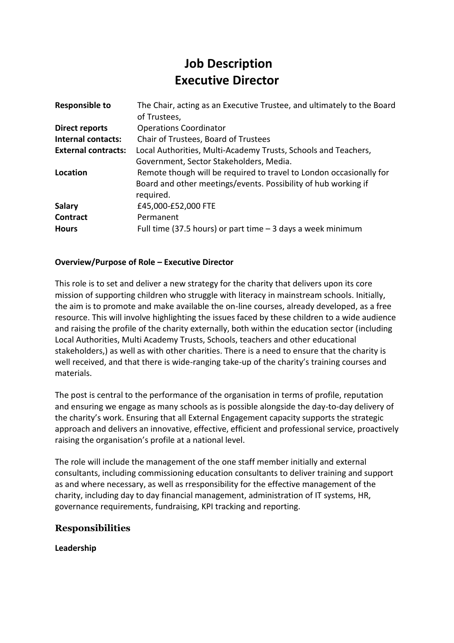# **Job Description Executive Director**

| <b>Responsible to</b>      | The Chair, acting as an Executive Trustee, and ultimately to the Board |
|----------------------------|------------------------------------------------------------------------|
|                            | of Trustees,                                                           |
| <b>Direct reports</b>      | <b>Operations Coordinator</b>                                          |
| <b>Internal contacts:</b>  | Chair of Trustees, Board of Trustees                                   |
| <b>External contracts:</b> | Local Authorities, Multi-Academy Trusts, Schools and Teachers,         |
|                            | Government, Sector Stakeholders, Media.                                |
| Location                   | Remote though will be required to travel to London occasionally for    |
|                            | Board and other meetings/events. Possibility of hub working if         |
|                            | required.                                                              |
| <b>Salary</b>              | £45,000-£52,000 FTE                                                    |
| <b>Contract</b>            | Permanent                                                              |
| <b>Hours</b>               | Full time (37.5 hours) or part time $-$ 3 days a week minimum          |

#### **Overview/Purpose of Role – Executive Director**

This role is to set and deliver a new strategy for the charity that delivers upon its core mission of supporting children who struggle with literacy in mainstream schools. Initially, the aim is to promote and make available the on-line courses, already developed, as a free resource. This will involve highlighting the issues faced by these children to a wide audience and raising the profile of the charity externally, both within the education sector (including Local Authorities, Multi Academy Trusts, Schools, teachers and other educational stakeholders,) as well as with other charities. There is a need to ensure that the charity is well received, and that there is wide-ranging take-up of the charity's training courses and materials.

The post is central to the performance of the organisation in terms of profile, reputation and ensuring we engage as many schools as is possible alongside the day-to-day delivery of the charity's work. Ensuring that all External Engagement capacity supports the strategic approach and delivers an innovative, effective, efficient and professional service, proactively raising the organisation's profile at a national level.

The role will include the management of the one staff member initially and external consultants, including commissioning education consultants to deliver training and support as and where necessary, as well as rresponsibility for the effective management of the charity, including day to day financial management, administration of IT systems, HR, governance requirements, fundraising, KPI tracking and reporting.

## **Responsibilities**

**Leadership**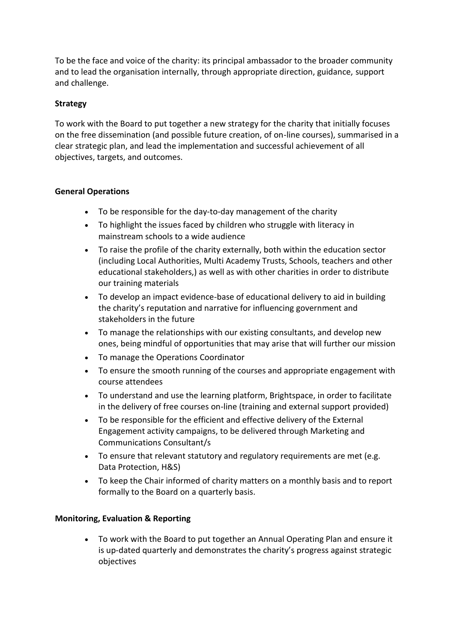To be the face and voice of the charity: its principal ambassador to the broader community and to lead the organisation internally, through appropriate direction, guidance, support and challenge.

## **Strategy**

To work with the Board to put together a new strategy for the charity that initially focuses on the free dissemination (and possible future creation, of on-line courses), summarised in a clear strategic plan, and lead the implementation and successful achievement of all objectives, targets, and outcomes.

### **General Operations**

- To be responsible for the day-to-day management of the charity
- To highlight the issues faced by children who struggle with literacy in mainstream schools to a wide audience
- To raise the profile of the charity externally, both within the education sector (including Local Authorities, Multi Academy Trusts, Schools, teachers and other educational stakeholders,) as well as with other charities in order to distribute our training materials
- To develop an impact evidence-base of educational delivery to aid in building the charity's reputation and narrative for influencing government and stakeholders in the future
- To manage the relationships with our existing consultants, and develop new ones, being mindful of opportunities that may arise that will further our mission
- To manage the Operations Coordinator
- To ensure the smooth running of the courses and appropriate engagement with course attendees
- To understand and use the learning platform, Brightspace, in order to facilitate in the delivery of free courses on-line (training and external support provided)
- To be responsible for the efficient and effective delivery of the External Engagement activity campaigns, to be delivered through Marketing and Communications Consultant/s
- To ensure that relevant statutory and regulatory requirements are met (e.g. Data Protection, H&S)
- To keep the Chair informed of charity matters on a monthly basis and to report formally to the Board on a quarterly basis.

## **Monitoring, Evaluation & Reporting**

• To work with the Board to put together an Annual Operating Plan and ensure it is up-dated quarterly and demonstrates the charity's progress against strategic objectives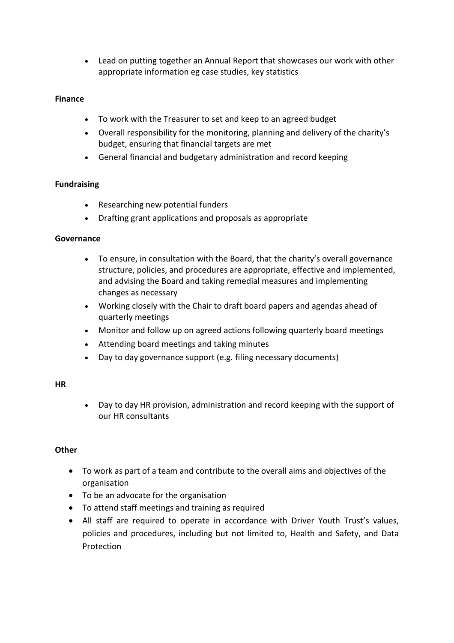• Lead on putting together an Annual Report that showcases our work with other appropriate information eg case studies, key statistics

## **Finance**

- To work with the Treasurer to set and keep to an agreed budget
- Overall responsibility for the monitoring, planning and delivery of the charity's budget, ensuring that financial targets are met
- General financial and budgetary administration and record keeping

## **Fundraising**

- Researching new potential funders
- Drafting grant applications and proposals as appropriate

#### **Governance**

- To ensure, in consultation with the Board, that the charity's overall governance structure, policies, and procedures are appropriate, effective and implemented, and advising the Board and taking remedial measures and implementing changes as necessary
- Working closely with the Chair to draft board papers and agendas ahead of quarterly meetings
- Monitor and follow up on agreed actions following quarterly board meetings
- Attending board meetings and taking minutes
- Day to day governance support (e.g. filing necessary documents)

#### **HR**

• Day to day HR provision, administration and record keeping with the support of our HR consultants

#### **Other**

- To work as part of a team and contribute to the overall aims and objectives of the organisation
- To be an advocate for the organisation
- To attend staff meetings and training as required
- All staff are required to operate in accordance with Driver Youth Trust's values, policies and procedures, including but not limited to, Health and Safety, and Data Protection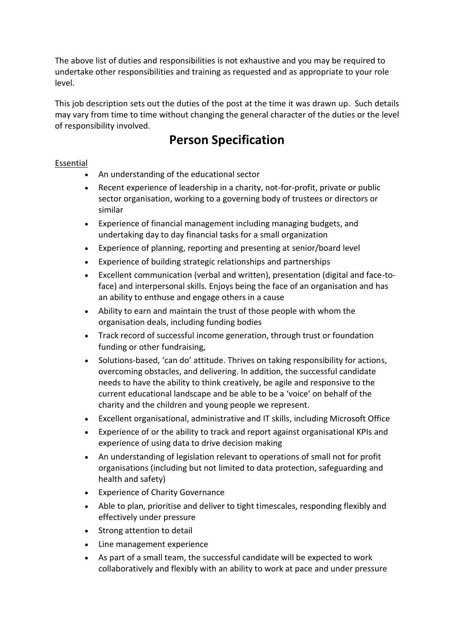The above list of duties and responsibilities is not exhaustive and you may be required to undertake other responsibilities and training as requested and as appropriate to your role level.

This job description sets out the duties of the post at the time it was drawn up. Such details may vary from time to time without changing the general character of the duties or the level of responsibility involved.

## **Person Specification**

## Essential

- An understanding of the educational sector
- Recent experience of leadership in a charity, not-for-profit, private or public sector organisation, working to a governing body of trustees or directors or similar
- Experience of financial management including managing budgets, and undertaking day to day financial tasks for a small organization
- Experience of planning, reporting and presenting at senior/board level
- Experience of building strategic relationships and partnerships
- Excellent communication (verbal and written), presentation (digital and face-toface) and interpersonal skills. Enjoys being the face of an organisation and has an ability to enthuse and engage others in a cause
- Ability to earn and maintain the trust of those people with whom the organisation deals, including funding bodies
- Track record of successful income generation, through trust or foundation funding or other fundraising,
- Solutions-based, 'can do' attitude. Thrives on taking responsibility for actions, overcoming obstacles, and delivering. In addition, the successful candidate needs to have the ability to think creatively, be agile and responsive to the current educational landscape and be able to be a 'voice' on behalf of the charity and the children and young people we represent.
- Excellent organisational, administrative and IT skills, including Microsoft Office
- Experience of or the ability to track and report against organisational KPIs and experience of using data to drive decision making
- An understanding of legislation relevant to operations of small not for profit organisations (including but not limited to data protection, safeguarding and health and safety)
- **Experience of Charity Governance**
- Able to plan, prioritise and deliver to tight timescales, responding flexibly and effectively under pressure
- Strong attention to detail
- Line management experience
- As part of a small team, the successful candidate will be expected to work collaboratively and flexibly with an ability to work at pace and under pressure